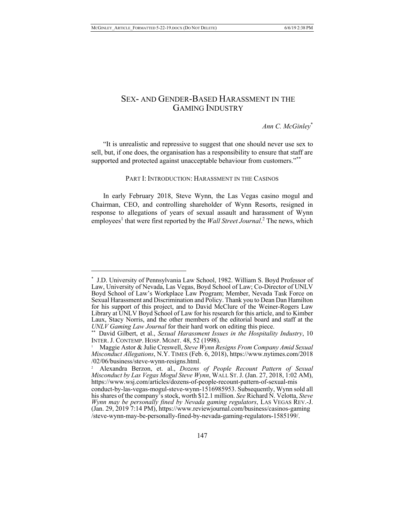$\overline{a}$ 

# SEX- AND GENDER-BASED HARASSMENT IN THE GAMING INDUSTRY

*Ann C. McGinley*\*

"It is unrealistic and repressive to suggest that one should never use sex to sell, but, if one does, the organisation has a responsibility to ensure that staff are supported and protected against unacceptable behaviour from customers."\*\*

PART I: INTRODUCTION: HARASSMENT IN THE CASINOS

In early February 2018, Steve Wynn, the Las Vegas casino mogul and Chairman, CEO, and controlling shareholder of Wynn Resorts, resigned in response to allegations of years of sexual assault and harassment of Wynn employees<sup>1</sup> that were first reported by the *Wall Street Journal*.<sup>2</sup> The news, which

<sup>\*</sup> J.D. University of Pennsylvania Law School, 1982. William S. Boyd Professor of Law, University of Nevada, Las Vegas, Boyd School of Law; Co-Director of UNLV Boyd School of Law's Workplace Law Program; Member, Nevada Task Force on Sexual Harassment and Discrimination and Policy. Thank you to Dean Dan Hamilton for his support of this project, and to David McClure of the Weiner-Rogers Law Library at UNLV Boyd School of Law for his research for this article, and to Kimber Laux, Stacy Norris, and the other members of the editorial board and staff at the *UNLV Gaming Law Journal* for their hard work on editing this piece.

<sup>\*\*</sup> David Gilbert, et al., *Sexual Harassment Issues in the Hospitality Industry*, 10 INTER. J. CONTEMP. HOSP. MGMT. 48, 52 (1998).

<sup>1</sup> Maggie Astor & Julie Creswell, *Steve Wynn Resigns From Company Amid Sexual Misconduct Allegations*, N.Y. TIMES (Feb. 6, 2018), https://www.nytimes.com/2018 /02/06/business/steve-wynn-resigns.html.

<sup>2</sup> Alexandra Berzon, et. al., *Dozens of People Recount Pattern of Sexual Misconduct by Las Vegas Mogul Steve Wynn*, WALL ST.J. (Jan. 27, 2018, 1:02 AM), https://www.wsj.com/articles/dozens-of-people-recount-pattern-of-sexual-mis conduct-by-las-vegas-mogul-steve-wynn-1516985953. Subsequently, Wynn sold all his shares of the company's stock, worth \$12.1 million. *See* Richard N. Velotta, *Steve Wynn may be personally fined by Nevada gaming regulators*, LAS VEGAS REV.-J. (Jan. 29, 2019 7:14 PM), https://www.reviewjournal.com/business/casinos-gaming /steve-wynn-may-be-personally-fined-by-nevada-gaming-regulators-1585199/.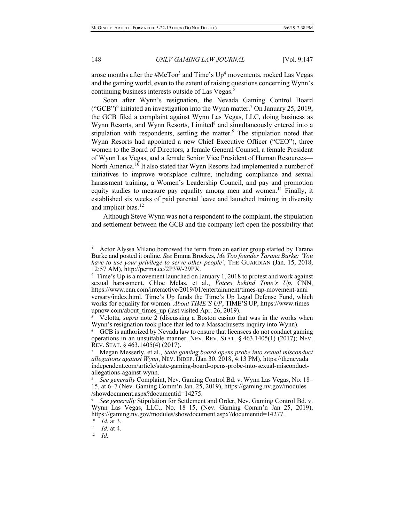arose months after the  $#MeToo<sup>3</sup>$  and Time's  $Up<sup>4</sup>$  movements, rocked Las Vegas and the gaming world, even to the extent of raising questions concerning Wynn's continuing business interests outside of Las Vegas.<sup>5</sup>

Soon after Wynn's resignation, the Nevada Gaming Control Board ("GCB")<sup>6</sup> initiated an investigation into the Wynn matter.<sup>7</sup> On January 25, 2019, the GCB filed a complaint against Wynn Las Vegas, LLC, doing business as Wynn Resorts, and Wynn Resorts, Limited<sup>8</sup> and simultaneously entered into a stipulation with respondents, settling the matter. $9$  The stipulation noted that Wynn Resorts had appointed a new Chief Executive Officer ("CEO"), three women to the Board of Directors, a female General Counsel, a female President of Wynn Las Vegas, and a female Senior Vice President of Human Resources— North America.<sup>10</sup> It also stated that Wynn Resorts had implemented a number of initiatives to improve workplace culture, including compliance and sexual harassment training, a Women's Leadership Council, and pay and promotion equity studies to measure pay equality among men and women.<sup>11</sup> Finally, it established six weeks of paid parental leave and launched training in diversity and implicit bias.<sup>12</sup>

Although Steve Wynn was not a respondent to the complaint, the stipulation and settlement between the GCB and the company left open the possibility that

Actor Alyssa Milano borrowed the term from an earlier group started by Tarana Burke and posted it online. *See* Emma Brockes, *Me Too founder Tarana Burke: 'You have to use your privilege to serve other people'*, THE GUARDIAN (Jan. 15, 2018, 12:57 AM), http://perma.cc/2P3W-29PX.

<sup>&</sup>lt;sup>4</sup> Time's Up is a movement launched on January 1, 2018 to protest and work against sexual harassment. Chloe Melas, et al., *Voices behind Time's Up*, CNN, https://www.cnn.com/interactive/2019/01/entertainment/times-up-movement-anni versary/index.html. Time's Up funds the Time's Up Legal Defense Fund, which works for equality for women. *About TIME'S UP*, TIME'S UP, https://www.times upnow.com/about\_times\_up (last visited Apr. 26, 2019).

<sup>5</sup> Velotta, *supra* note 2 (discussing a Boston casino that was in the works when Wynn's resignation took place that led to a Massachusetts inquiry into Wynn).

<sup>6</sup> GCB is authorized by Nevada law to ensure that licensees do not conduct gaming operations in an unsuitable manner. NEV. REV. STAT. § 463.1405(1) (2017); NEV. REV. STAT. § 463.1405(4) (2017).

<sup>7</sup> Megan Messerly, et al., *State gaming board opens probe into sexual misconduct allegations against Wynn*, NEV. INDEP. (Jan 30. 2018, 4:13 PM), https://thenevada independent.com/article/state-gaming-board-opens-probe-into-sexual-misconduct- allegations-against-wynn.

<sup>8</sup>*See generally* Complaint, Nev. Gaming Control Bd. v. Wynn Las Vegas, No. 18– 15, at 6–7 (Nev. Gaming Comm'n Jan. 25, 2019), https://gaming.nv.gov/modules /showdocument.aspx?documentid=14275.

See generally Stipulation for Settlement and Order, Nev. Gaming Control Bd. v. Wynn Las Vegas, LLC., No. 18–15, (Nev. Gaming Comm'n Jan 25, 2019), https://gaming.nv.gov/modules/showdocument.aspx?documentid=14277.

<sup>&</sup>lt;sup>10</sup> *Id.* at 3.<br><sup>11</sup> *Id* at 4

*Id.* at 4.

<sup>12</sup> *Id.*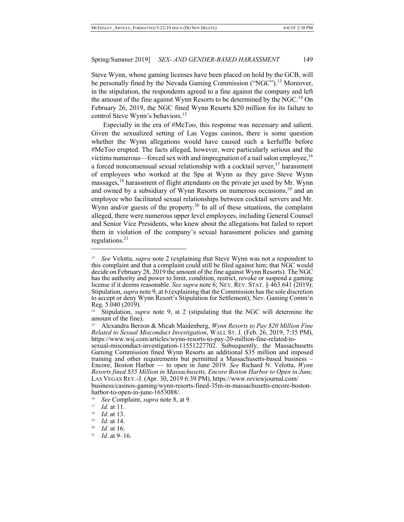Steve Wynn, whose gaming licenses have been placed on hold by the GCB, will be personally fined by the Nevada Gaming Commission ("NGC").<sup>13</sup> Moreover, in the stipulation, the respondents agreed to a fine against the company and left the amount of the fine against Wynn Resorts to be determined by the NGC.<sup>14</sup> On February 26, 2019, the NGC fined Wynn Resorts \$20 million for its failure to control Steve Wynn's behaviors.<sup>15</sup>

Especially in the era of #MeToo, this response was necessary and salient. Given the sexualized setting of Las Vegas casinos, there is some question whether the Wynn allegations would have caused such a kerfuffle before #MeToo erupted. The facts alleged, however, were particularly serious and the victims numerous—forced sex with and impregnation of a nail salon employee,  $16$ a forced nonconsensual sexual relationship with a cocktail server,  $17$  harassment of employees who worked at the Spa at Wynn as they gave Steve Wynn massages,18 harassment of flight attendants on the private jet used by Mr. Wynn and owned by a subsidiary of Wynn Resorts on numerous occasions, $19$  and an employee who facilitated sexual relationships between cocktail servers and Mr. Wynn and/or guests of the property.<sup>20</sup> In all of these situations, the complaint alleged, there were numerous upper level employees, including General Counsel and Senior Vice Presidents, who knew about the allegations but failed to report them in violation of the company's sexual harassment policies and gaming regulations. $21$ 

<sup>&</sup>lt;sup>13</sup> *See* Velotta, *supra* note 2 (explaining that Steve Wynn was not a respondent to this complaint and that a complaint could still be filed against him; that NGC would decide on February 28, 2019 the amount of the fine against Wynn Resorts). The NGC has the authority and power to limit, condition, restrict, revoke or suspend a gaming license if it deems reasonable. *See supra* note 6; NEV. REV. STAT. § 463.641 (2019); Stipulation, *supra* note 9, at 6 (explaining that the Commission has the sole discretion to accept or deny Wynn Resort's Stipulation for Settlement); Nev. Gaming Comm'n Reg. 5.040 (2019).

Stipulation, *supra* note 9, at 2 (stipulating that the NGC will determine the amount of the fine).

<sup>15</sup> Alexandra Berzon & Micah Maidenberg, *Wynn Resorts to Pay \$20 Million Fine Related to Sexual Misconduct Investigation*, WALL ST. J. (Feb. 26, 2019, 7:35 PM), https://www.wsj.com/articles/wynn-resorts-to-pay-20-million-fine-related-to- sexual-misconduct-investigation-11551227702. Subsequently, the Massachusetts

Gaming Commission fined Wynn Resorts an additional \$35 million and imposed training and other requirements but permitted a Massachusetts-based business – Encore, Boston Harbor — to open in June 2019. *See* Richard N. Velotta, *Wynn Resorts fined \$35 Million in Massachusetts, Encore Boston Harbor to Open in June,* LAS VEGAS REV.-J. (Apr. 30, 2019 6:39 PM), https://www.reviewjournal.com/

business/casinos-gaming/wynn-resorts-fined-35m-in-massachusetts-encore-boston- harbor-to-open-in-june-1653088/.

<sup>&</sup>lt;sup>16</sup> *See* Complaint, *supra* note 8, at 9.

 $\frac{17}{18}$  *Id.* at 11.

 $\frac{18}{19}$  *Id.* at 13.

<sup>&</sup>lt;sup>19</sup> *Id.* at 14.<br><sup>20</sup> *Id* at 16

*Id.* at 16.

<sup>21</sup> *Id.* at 9–16.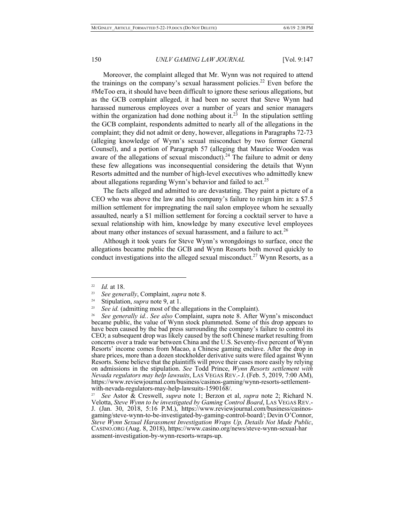Moreover, the complaint alleged that Mr. Wynn was not required to attend the trainings on the company's sexual harassment policies.<sup>22</sup> Even before the #MeToo era, it should have been difficult to ignore these serious allegations, but as the GCB complaint alleged, it had been no secret that Steve Wynn had harassed numerous employees over a number of years and senior managers within the organization had done nothing about it.<sup>23</sup> In the stipulation settling the GCB complaint, respondents admitted to nearly all of the allegations in the complaint; they did not admit or deny, however, allegations in Paragraphs 72-73 (alleging knowledge of Wynn's sexual misconduct by two former General Counsel), and a portion of Paragraph 57 (alleging that Maurice Wooden was aware of the allegations of sexual misconduct).<sup>24</sup> The failure to admit or deny these few allegations was inconsequential considering the details that Wynn Resorts admitted and the number of high-level executives who admittedly knew about allegations regarding Wynn's behavior and failed to act.<sup>25</sup>

The facts alleged and admitted to are devastating. They paint a picture of a CEO who was above the law and his company's failure to reign him in: a \$7.5 million settlement for impregnating the nail salon employee whom he sexually assaulted, nearly a \$1 million settlement for forcing a cocktail server to have a sexual relationship with him, knowledge by many executive level employees about many other instances of sexual harassment, and a failure to act.<sup>26</sup>

Although it took years for Steve Wynn's wrongdoings to surface, once the allegations became public the GCB and Wynn Resorts both moved quickly to conduct investigations into the alleged sexual misconduct.<sup>27</sup> Wynn Resorts, as a

<sup>&</sup>lt;sup>22</sup> *Id.* at 18.

<sup>23</sup> *See generally*, Complaint, *supra* note 8.

<sup>24</sup> Stipulation, *supra* note 9, at 1.

<sup>&</sup>lt;sup>25</sup> *See id.* (admitting most of the allegations in the Complaint).<br><sup>26</sup> *See generally id. See also* Complaint, supra note 8, After

<sup>26</sup> *See generally id.*. *See also* Complaint, supra note 8. After Wynn's misconduct became public, the value of Wynn stock plummeted. Some of this drop appears to have been caused by the bad press surrounding the company's failure to control its CEO; a subsequent drop was likely caused by the soft Chinese market resulting from concerns over a trade war between China and the U.S. Seventy-five percent of Wynn Resorts' income comes from Macao, a Chinese gaming enclave. After the drop in share prices, more than a dozen stockholder derivative suits were filed against Wynn Resorts. Some believe that the plaintiffs will prove their cases more easily by relying on admissions in the stipulation. *See* Todd Prince, *Wynn Resorts settlement with Nevada regulators may help lawsuits*, LAS VEGAS REV.-J. (Feb. 5, 2019, 7:00 AM), https://www.reviewjournal.com/business/casinos-gaming/wynn-resorts-settlement- with-nevada-regulators-may-help-lawsuits-1590168/.

<sup>27</sup> *See* Astor & Creswell, *supra* note 1; Berzon et al, *supra* note 2; Richard N. Velotta, *Steve Wynn to be investigated by Gaming Control Board*, LAS VEGAS REV.-<br>J. (Jan. 30, 2018, 5:16 P.M.), https://www.reviewjournal.com/business/casinos-<br>gaming/steve-wynn-to-be-investigated-by-gaming-control-board/ *Steve Wynn Sexual Harassment Investigation Wraps Up, Details Not Made Public*, CASINO.ORG (Aug. 8, 2018), https://www.casino.org/news/steve-wynn-sexual-har assment-investigation-by-wynn-resorts-wraps-up.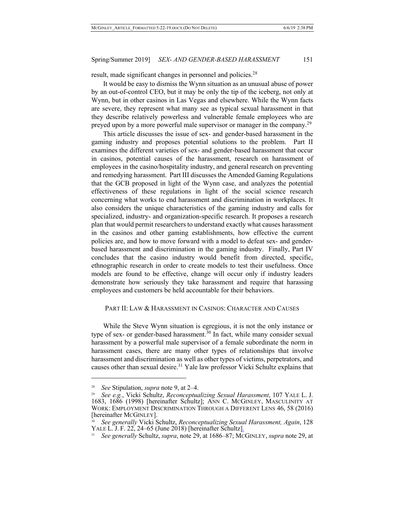result, made significant changes in personnel and policies.<sup>28</sup>

It would be easy to dismiss the Wynn situation as an unusual abuse of power by an out-of-control CEO, but it may be only the tip of the iceberg, not only at Wynn, but in other casinos in Las Vegas and elsewhere. While the Wynn facts are severe, they represent what many see as typical sexual harassment in that they describe relatively powerless and vulnerable female employees who are preyed upon by a more powerful male supervisor or manager in the company.<sup>29</sup>

This article discusses the issue of sex- and gender-based harassment in the gaming industry and proposes potential solutions to the problem. Part II examines the different varieties of sex- and gender-based harassment that occur in casinos, potential causes of the harassment, research on harassment of employees in the casino/hospitality industry, and general research on preventing and remedying harassment. Part III discusses the Amended Gaming Regulations that the GCB proposed in light of the Wynn case, and analyzes the potential effectiveness of these regulations in light of the social science research concerning what works to end harassment and discrimination in workplaces. It also considers the unique characteristics of the gaming industry and calls for specialized, industry- and organization-specific research. It proposes a research plan that would permit researchers to understand exactly what causes harassment in the casinos and other gaming establishments, how effective the current policies are, and how to move forward with a model to defeat sex- and genderbased harassment and discrimination in the gaming industry. Finally, Part IV concludes that the casino industry would benefit from directed, specific, ethnographic research in order to create models to test their usefulness. Once models are found to be effective, change will occur only if industry leaders demonstrate how seriously they take harassment and require that harassing employees and customers be held accountable for their behaviors.

# PART II: LAW & HARASSMENT IN CASINOS: CHARACTER AND CAUSES

While the Steve Wynn situation is egregious, it is not the only instance or type of sex- or gender-based harassment.<sup>30</sup> In fact, while many consider sexual harassment by a powerful male supervisor of a female subordinate the norm in harassment cases, there are many other types of relationships that involve harassment and discrimination as well as other types of victims, perpetrators, and causes other than sexual desire.<sup>31</sup> Yale law professor Vicki Schultz explains that

<sup>28</sup> *See* Stipulation, *supra* note 9, at 2–4.

<sup>29</sup>*See e.g.*, Vicki Schultz, *Reconceptualizing Sexual Harassment*, 107 YALE L. J. 1683, 1686 (1998) [hereinafter Schultz]; ANN C. MCGINLEY, MASCULINITY AT WORK: EMPLOYMENT DISCRIMINATION THROUGH A DIFFERENT LENS 46, 58 (2016) [hereinafter MCGINLEY].

<sup>30</sup> *See generally* Vicki Schultz, *Reconceptualizing Sexual Harassment, Again*, 128 YALE L. J. F. 22, 24–65 (June 2018) [hereinafter Schultz].

<sup>31</sup> *See generally* Schultz, *supra*, note 29, at 1686–87; MCGINLEY, *supra* note 29, at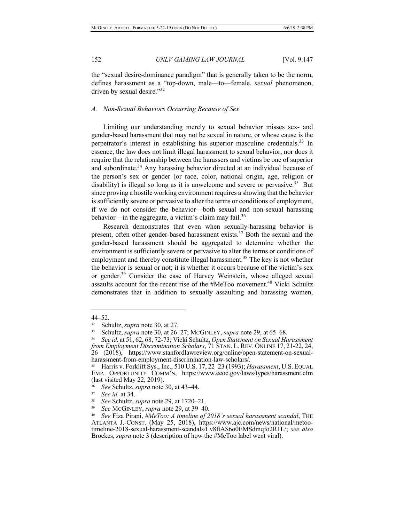the "sexual desire-dominance paradigm" that is generally taken to be the norm, defines harassment as a "top-down, male—to—female, *sexual* phenomenon, driven by sexual desire."32

## *A. Non-Sexual Behaviors Occurring Because of Sex*

Limiting our understanding merely to sexual behavior misses sex- and gender-based harassment that may not be sexual in nature, or whose cause is the perpetrator's interest in establishing his superior masculine credentials.<sup>33</sup> In essence, the law does not limit illegal harassment to sexual behavior, nor does it require that the relationship between the harassers and victims be one of superior and subordinate.<sup>34</sup> Any harassing behavior directed at an individual because of the person's sex or gender (or race, color, national origin, age, religion or disability) is illegal so long as it is unwelcome and severe or pervasive.<sup>35</sup> But since proving a hostile working environment requires a showing that the behavior is sufficiently severe or pervasive to alter the terms or conditions of employment, if we do not consider the behavior—both sexual and non-sexual harassing behavior—in the aggregate, a victim's claim may fail. $36$ 

Research demonstrates that even when sexually-harassing behavior is present, often other gender-based harassment exists. $37$  Both the sexual and the gender-based harassment should be aggregated to determine whether the environment is sufficiently severe or pervasive to alter the terms or conditions of employment and thereby constitute illegal harassment.<sup>38</sup> The key is not whether the behavior is sexual or not; it is whether it occurs because of the victim's sex or gender.<sup>39</sup> Consider the case of Harvey Weinstein, whose alleged sexual assaults account for the recent rise of the #MeToo movement.<sup>40</sup> Vicki Schultz demonstrates that in addition to sexually assaulting and harassing women,

<sup>44–52.</sup>

<sup>32</sup> Schultz, *supra* note 30, at 27. 33 Schultz, *supra* note 30, at 26–27; MCGINLEY, *supra* note 29, at 65–68.

<sup>34</sup> *See id.* at 51, 62, 68, 72-73; Vicki Schultz, *Open Statement on Sexual Harassment from Employment Discrimination Scholars*, 71 STAN. L. REV. ONLINE 17, 21-22, 24, 26 (2018), https://www.stanfordlawreview.org/online/open-statement-on-sexualharassment-from-employment-discrimination-law-scholars/.

<sup>35</sup> Harris v. Forklift Sys., Inc., 510 U.S. 17, 22–23 (1993); *Harassment*, U.S. EQUAL EMP. OPPORTUNITY COMM'N, https://www.eeoc.gov/laws/types/harassment.cfm (last visited May 22, 2019).<br><sup>36</sup> *See* Schultz, *supra* note 30, at 43–44.<br><sup>37</sup> *See* id at 34.

See id. at 34.

<sup>38</sup> *See* Schultz, *supra* note 29, at 1720–21.

<sup>&</sup>lt;sup>39</sup> See MCGINLEY, *supra* note 29, at 39–40.<br><sup>40</sup> See Fiza Pirani, *#MeToo: A timeline of 2018's sexual harassment scandal*, THE ATLANTA J.-CONST. (May 25, 2018), https://www.ajc.com/news/national/metoo- timeline-2018-sexual-harassment-scandals/Lv8ftAS6o0EMSdmqfo2R1L/; *see also* Brockes, *supra* note 3 (description of how the #MeToo label went viral).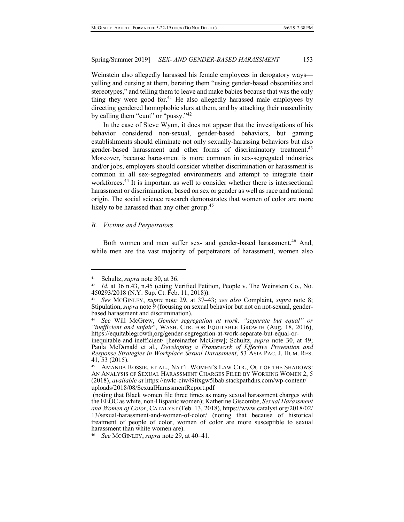Weinstein also allegedly harassed his female employees in derogatory ways yelling and cursing at them, berating them "using gender-based obscenities and stereotypes," and telling them to leave and make babies because that was the only thing they were good for.<sup>41</sup> He also allegedly harassed male employees by directing gendered homophobic slurs at them, and by attacking their masculinity by calling them "cunt" or "pussy."42

In the case of Steve Wynn, it does not appear that the investigations of his behavior considered non-sexual, gender-based behaviors, but gaming establishments should eliminate not only sexually-harassing behaviors but also gender-based harassment and other forms of discriminatory treatment.<sup>43</sup> Moreover, because harassment is more common in sex-segregated industries and/or jobs, employers should consider whether discrimination or harassment is common in all sex-segregated environments and attempt to integrate their workforces.<sup>44</sup> It is important as well to consider whether there is intersectional harassment or discrimination, based on sex or gender as well as race and national origin. The social science research demonstrates that women of color are more likely to be harassed than any other group.<sup>45</sup>

# *B. Victims and Perpetrators*

Both women and men suffer sex- and gender-based harassment.<sup>46</sup> And, while men are the vast majority of perpetrators of harassment, women also

<sup>&</sup>lt;sup>41</sup> Schultz, *supra* note 30, at 36.<br><sup>42</sup> *Id.* at 36 n 43 n 45 (citing V.

Id. at 36 n.43, n.45 (citing Verified Petition, People v. The Weinstein Co., No. 450293/2018 (N.Y. Sup. Ct. Feb. 11, 2018)).

<sup>43</sup> *See* MCGINLEY, *supra* note 29, at 37–43; *see also* Complaint, *supra* note 8; Stipulation, *supra* note 9 (focusing on sexual behavior but not on not-sexual, gender-based harassment and discrimination).

<sup>44</sup>*See* Will McGrew, *Gender segregation at work: "separate but equal" or "inefficient and unfair*", WASH. CTR. FOR EQUITABLE GROWTH (Aug. 18, 2016), https://equitablegrowth.org/gender-segregation-at-work-separate-but-equal-or-

inequitable-and-inefficient/ [hereinafter McGrew]; Schultz, *supra* note 30, at 49; Paula McDonald et al., *Developing a Framework of Effective Prevention and Response Strategies in Workplace Sexual Harassment*, 53 ASIA PAC. J. HUM. RES. 41, 53 (2015).

<sup>45</sup> AMANDA ROSSIE, ET AL., NAT'L WOMEN'S LAW CTR., OUT OF THE SHADOWS: AN ANALYSIS OF SEXUAL HARASSMENT CHARGES FILED BY WORKING WOMEN 2, 5 (2018), *available at* https://nwlc-ciw49tixgw5lbab.stackpathdns.com/wp-content/ uploads/2018/08/SexualHarassmentReport.pdf

<sup>(</sup>noting that Black women file three times as many sexual harassment charges with the EEOC as white, non-Hispanic women); Katherine Giscombe, *Sexual Harassment and Women of Color*, CATALYST (Feb. 13, 2018), https://www.catalyst.org/2018/02/ 13/sexual-harassment-and-women-of-color/ (noting that because of historical treatment of people of color, women of color are more susceptible to sexual harassment than white women are).

<sup>46</sup> *See* MCGINLEY, *supra* note 29, at 40–41.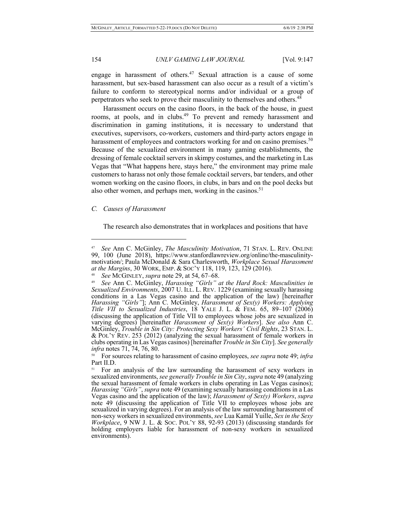engage in harassment of others.<sup>47</sup> Sexual attraction is a cause of some harassment, but sex-based harassment can also occur as a result of a victim's failure to conform to stereotypical norms and/or individual or a group of perpetrators who seek to prove their masculinity to themselves and others.<sup>48</sup>

Harassment occurs on the casino floors, in the back of the house, in guest rooms, at pools, and in clubs.<sup>49</sup> To prevent and remedy harassment and discrimination in gaming institutions, it is necessary to understand that executives, supervisors, co-workers, customers and third-party actors engage in harassment of employees and contractors working for and on casino premises.<sup>50</sup> Because of the sexualized environment in many gaming establishments, the dressing of female cocktail servers in skimpy costumes, and the marketing in Las Vegas that "What happens here, stays here," the environment may prime male customers to harass not only those female cocktail servers, bar tenders, and other women working on the casino floors, in clubs, in bars and on the pool decks but also other women, and perhaps men, working in the casinos.<sup>51</sup>

## *C. Causes of Harassment*

 $\overline{a}$ 

The research also demonstrates that in workplaces and positions that have

<sup>47</sup> *See* Ann C. McGinley, *The Masculinity Motivation*, 71 STAN. L. REV. ONLINE 99, 100 (June 2018), https://www.stanfordlawreview.org/online/the-masculinitymotivation/; Paula McDonald & Sara Charlesworth, *Workplace Sexual Harassment at the Margins*, 30 WORK, EMP. & SOC'Y 118, 119, 123, 129 (2016).

<sup>48</sup> *See* MCGINLEY, *supra* note 29, at 54, 67–68.

<sup>49</sup> *See* Ann C. McGinley, *Harassing "Girls" at the Hard Rock: Masculinities in Sexualized Environments*, 2007 U. ILL. L. REV. 1229 (examining sexually harassing conditions in a Las Vegas casino and the application of the law) [hereinafter *Harassing "Girls"*]; Ann C. McGinley, *Harassment of Sex(y) Workers: Applying Title VII to Sexualized Industries*, 18 YALE J. L. & FEM. 65, 89–107 (2006) (discussing the application of Title VII to employees whose jobs are sexualized in varying degrees) [hereinafter *Harassment of Sex(y) Workers*]. *See also* Ann C. McGinley, *Trouble in Sin City: Protecting Sexy Workers' Civil Rights*, 23 STAN. L. & POL'Y REV. 253 (2012) (analyzing the sexual harassment of female workers in clubs operating in Las Vegas casinos) [hereinafter *Trouble in Sin City*]. *See generally infra* notes 71, 74, 76, 80.

<sup>50</sup> For sources relating to harassment of casino employees, *see supra* note 49; *infra* Part II.D.

For an analysis of the law surrounding the harassment of sexy workers in sexualized environments, *see generally Trouble in Sin City*, *supra* note 49 (analyzing the sexual harassment of female workers in clubs operating in Las Vegas casinos); *Harassing "Girls"*, *supra* note 49 (examining sexually harassing conditions in a Las Vegas casino and the application of the law); *Harassment of Sex(y) Workers*, *supra* note 49 (discussing the application of Title VII to employees whose jobs are sexualized in varying degrees). For an analysis of the law surrounding harassment of non-sexy workers in sexualized environments, *see* Lua Kamál Yuille, *Sex in the Sexy Workplace*, 9 NW J. L. & Soc. Pol'y 88, 92-93 (2013) (discussing standards for holding employers liable for harassment of non-sexy workers in sexualized environments).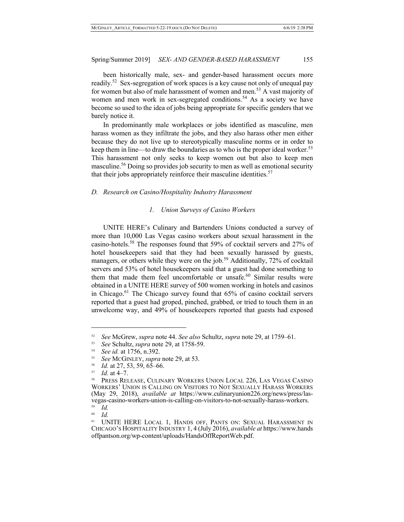been historically male, sex- and gender-based harassment occurs more readily.<sup>52</sup> Sex-segregation of work spaces is a key cause not only of unequal pay for women but also of male harassment of women and men.<sup>53</sup> A vast majority of women and men work in sex-segregated conditions.<sup>54</sup> As a society we have become so used to the idea of jobs being appropriate for specific genders that we barely notice it.

In predominantly male workplaces or jobs identified as masculine, men harass women as they infiltrate the jobs, and they also harass other men either because they do not live up to stereotypically masculine norms or in order to keep them in line—to draw the boundaries as to who is the proper ideal worker.<sup>55</sup> This harassment not only seeks to keep women out but also to keep men masculine.<sup>56</sup> Doing so provides job security to men as well as emotional security that their jobs appropriately reinforce their masculine identities.<sup>57</sup>

## *D. Research on Casino/Hospitality Industry Harassment*

## *1. Union Surveys of Casino Workers*

UNITE HERE's Culinary and Bartenders Unions conducted a survey of more than 10,000 Las Vegas casino workers about sexual harassment in the casino-hotels.<sup>58</sup> The responses found that 59% of cocktail servers and 27% of hotel housekeepers said that they had been sexually harassed by guests, managers, or others while they were on the job.<sup>59</sup> Additionally, 72% of cocktail servers and 53% of hotel housekeepers said that a guest had done something to them that made them feel uncomfortable or unsafe.<sup>60</sup> Similar results were obtained in a UNITE HERE survey of 500 women working in hotels and casinos in Chicago.<sup>61</sup> The Chicago survey found that 65% of casino cocktail servers reported that a guest had groped, pinched, grabbed, or tried to touch them in an unwelcome way, and 49% of housekeepers reported that guests had exposed

60 *Id.*

<sup>52</sup> *See* McGrew, *supra* note 44. *See also* Schultz, *supra* note 29, at 1759–61.

<sup>53</sup> *See* Schultz, *supra* note 29, at 1758-59.

<sup>54</sup> *See id.* at 1756, n.392.

<sup>55</sup> *See* MCGINLEY, *supra* note 29, at 53.

 $\frac{56}{57}$  *Id.* at 27, 53, 59, 65–66.

*Id.* at 4–7.

<sup>58</sup> PRESS RELEASE, CULINARY WORKERS UNION LOCAL 226, LAS VEGAS CASINO WORKERS' UNION IS CALLING ON VISITORS TO NOT SEXUALLY HARASS WORKERS (May 29, 2018), *available at* https://www.culinaryunion226.org/news/press/las- vegas-casino-workers-union-is-calling-on-visitors-to-not-sexually-harass-workers. 59 *Id.*

<sup>61</sup> UNITE HERE LOCAL 1, HANDS OFF, PANTS ON: SEXUAL HARASSMENT IN CHICAGO'S HOSPITALITY INDUSTRY 1, 4 (July 2016), *available at* https://www.hands offpantson.org/wp-content/uploads/HandsOffReportWeb.pdf.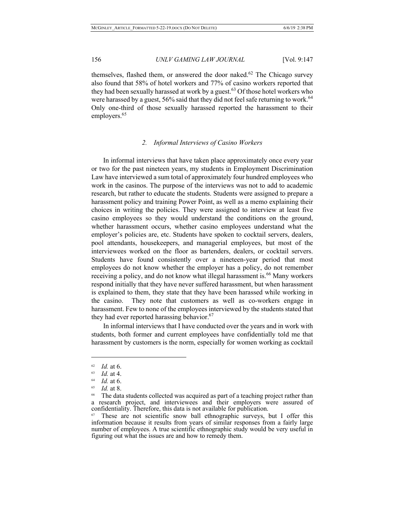themselves, flashed them, or answered the door naked.<sup>62</sup> The Chicago survey also found that 58% of hotel workers and 77% of casino workers reported that they had been sexually harassed at work by a guest.<sup>63</sup> Of those hotel workers who were harassed by a guest,  $56\%$  said that they did not feel safe returning to work.<sup>64</sup> Only one-third of those sexually harassed reported the harassment to their employers.<sup>65</sup>

## *2. Informal Interviews of Casino Workers*

In informal interviews that have taken place approximately once every year or two for the past nineteen years, my students in Employment Discrimination Law have interviewed a sum total of approximately four hundred employees who work in the casinos. The purpose of the interviews was not to add to academic research, but rather to educate the students. Students were assigned to prepare a harassment policy and training Power Point, as well as a memo explaining their choices in writing the policies. They were assigned to interview at least five casino employees so they would understand the conditions on the ground, whether harassment occurs, whether casino employees understand what the employer's policies are, etc. Students have spoken to cocktail servers, dealers, pool attendants, housekeepers, and managerial employees, but most of the interviewees worked on the floor as bartenders, dealers, or cocktail servers. Students have found consistently over a nineteen-year period that most employees do not know whether the employer has a policy, do not remember receiving a policy, and do not know what illegal harassment is.<sup>66</sup> Many workers respond initially that they have never suffered harassment, but when harassment is explained to them, they state that they have been harassed while working in the casino. They note that customers as well as co-workers engage in harassment. Few to none of the employees interviewed by the students stated that they had ever reported harassing behavior.<sup>67</sup>

In informal interviews that I have conducted over the years and in work with students, both former and current employees have confidentially told me that harassment by customers is the norm, especially for women working as cocktail

 $\frac{62}{63}$  *Id.* at 6.

 $\frac{63}{64}$  *Id.* at 4.

*Id.* at 6.

<sup>65</sup> *Id.* at 8.

<sup>&</sup>lt;sup>66</sup> The data students collected was acquired as part of a teaching project rather than a research project, and interviewees and their employers were assured of confidentiality. Therefore, this data is not available for publication.

These are not scientific snow ball ethnographic surveys, but I offer this information because it results from years of similar responses from a fairly large number of employees. A true scientific ethnographic study would be very useful in figuring out what the issues are and how to remedy them.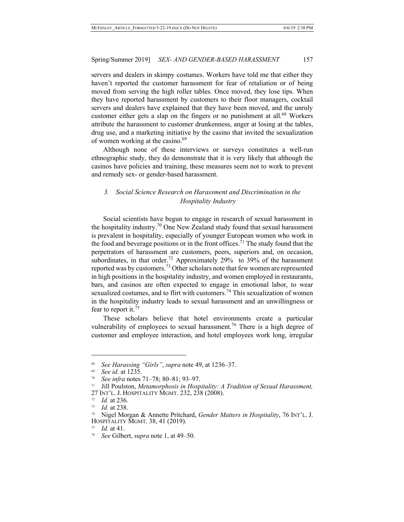servers and dealers in skimpy costumes. Workers have told me that either they haven't reported the customer harassment for fear of retaliation or of being moved from serving the high roller tables. Once moved, they lose tips. When they have reported harassment by customers to their floor managers, cocktail servers and dealers have explained that they have been moved, and the unruly customer either gets a slap on the fingers or no punishment at all.<sup>68</sup> Workers attribute the harassment to customer drunkenness, anger at losing at the tables, drug use, and a marketing initiative by the casino that invited the sexualization of women working at the casino.<sup>69</sup>

Although none of these interviews or surveys constitutes a well-run ethnographic study, they do demonstrate that it is very likely that although the casinos have policies and training, these measures seem not to work to prevent and remedy sex- or gender-based harassment.

# *3. Social Science Research on Harassment and Discrimination in the Hospitality Industry*

Social scientists have begun to engage in research of sexual harassment in the hospitality industry.<sup>70</sup> One New Zealand study found that sexual harassment is prevalent in hospitality, especially of younger European women who work in the food and beverage positions or in the front offices.<sup>71</sup> The study found that the perpetrators of harassment are customers, peers, superiors and, on occasion, subordinates, in that order.<sup>72</sup> Approximately 29% to 39% of the harassment reported was by customers.<sup>73</sup> Other scholars note that few women are represented in high positions in the hospitality industry, and women employed in restaurants, bars, and casinos are often expected to engage in emotional labor, to wear sexualized costumes, and to flirt with customers.<sup>74</sup> This sexualization of women in the hospitality industry leads to sexual harassment and an unwillingness or fear to report it.<sup>75</sup>

These scholars believe that hotel environments create a particular vulnerability of employees to sexual harassment.<sup>76</sup> There is a high degree of customer and employee interaction, and hotel employees work long, irregular

<sup>68</sup> *See Harassing "Girls"*, *supra* note 49, at 1236–37.

<sup>69</sup> *See id.* at 1235.

<sup>70</sup> *See infra* notes 71–78; 80–81; 93–97.

<sup>71</sup> Jill Poulston, *Metamorphosis in Hospitality: A Tradition of Sexual Harassment,* 27 INT'L. J. HOSPITALITY MGMT. 232, 238 (2008).

<sup>72</sup> *Id.* at 236.

<sup>73</sup> *Id.* at 238.

<sup>74</sup> Nigel Morgan & Annette Pritchard, *Gender Matters in Hospitality*, 76 INT'L. J. HOSPITALITY MGMT. 38, 41 (2019).

*Id.* at 41.

<sup>76</sup> *See* Gilbert, *supra* note 1, at 49–50.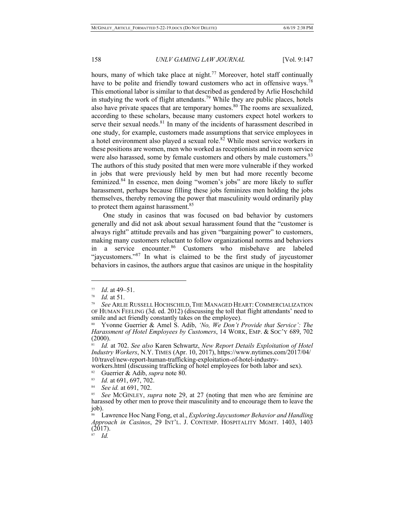hours, many of which take place at night.<sup>77</sup> Moreover, hotel staff continually have to be polite and friendly toward customers who act in offensive ways.<sup>78</sup> This emotional labor is similar to that described as gendered by Arlie Hoschchild in studying the work of flight attendants.<sup>79</sup> While they are public places, hotels also have private spaces that are temporary homes.<sup>80</sup> The rooms are sexualized, according to these scholars, because many customers expect hotel workers to serve their sexual needs. $81$  In many of the incidents of harassment described in one study, for example, customers made assumptions that service employees in a hotel environment also played a sexual role.<sup>82</sup> While most service workers in these positions are women, men who worked as receptionists and in room service were also harassed, some by female customers and others by male customers.<sup>83</sup> The authors of this study posited that men were more vulnerable if they worked in jobs that were previously held by men but had more recently become feminized.<sup>84</sup> In essence, men doing "women's jobs" are more likely to suffer harassment, perhaps because filling these jobs feminizes men holding the jobs themselves, thereby removing the power that masculinity would ordinarily play to protect them against harassment.<sup>85</sup>

One study in casinos that was focused on bad behavior by customers generally and did not ask about sexual harassment found that the "customer is always right" attitude prevails and has given "bargaining power" to customers, making many customers reluctant to follow organizational norms and behaviors in a service encounter.<sup>86</sup> Customers who misbehave are labeled "jaycustomers."<sup>87</sup> In what is claimed to be the first study of jaycustomer behaviors in casinos, the authors argue that casinos are unique in the hospitality

 $\overline{a}$ 

10/travel/new-report-human-trafficking-exploitation-of-hotel-industry-<br>workers.html (discussing trafficking of hotel employees for both labor and sex).<br><sup>82</sup> Guerrier & Adib sunga pote 80

<sup>77</sup> *Id*. at 49–51.

<sup>78</sup> *Id.* at 51.

<sup>79</sup> *See* ARLIE RUSSELL HOCHSCHILD, THE MANAGED HEART:COMMERCIALIZATION OF HUMAN FEELING (3d. ed. 2012) (discussing the toll that flight attendants' need to smile and act friendly constantly takes on the employee).

<sup>80</sup> Yvonne Guerrier & Amel S. Adib, *'No, We Don't Provide that Service': The Harassment of Hotel Employees by Customers*, 14 WORK, EMP. & SOC'Y 689, 702 (2000).

<sup>81</sup> *Id.* at 702. *See also* Karen Schwartz, *New Report Details Exploitation of Hotel Industry Workers*, N.Y. TIMES (Apr. 10, 2017), https://www.nytimes.com/2017/04/

<sup>&</sup>lt;sup>82</sup> Guerrier & Adib, *supra* note 80.<br><sup>83</sup> *Id* at 691 697 702

Id. at 691, 697, 702.

<sup>&</sup>lt;sup>84</sup> *See id.* at 691, 702.

See McGINLEY, *supra* note 29, at 27 (noting that men who are feminine are harassed by other men to prove their masculinity and to encourage them to leave the job).

<sup>86</sup> Lawrence Hoc Nang Fong, et al., *Exploring Jaycustomer Behavior and Handling Approach in Casinos*, 29 INT'L. J. CONTEMP. HOSPITALITY MGMT. 1403, 1403  $(2017)$ .

<sup>87</sup> *Id.*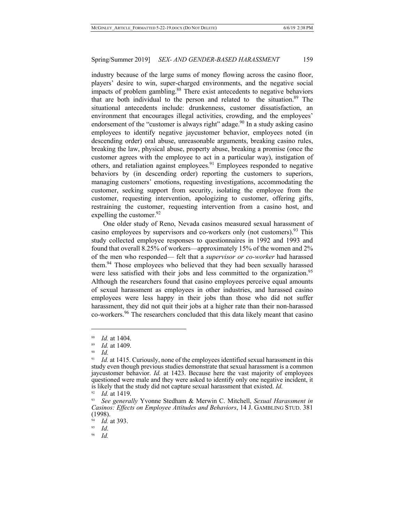industry because of the large sums of money flowing across the casino floor, players' desire to win, super-charged environments, and the negative social impacts of problem gambling.<sup>88</sup> There exist antecedents to negative behaviors that are both individual to the person and related to the situation.<sup>89</sup> The situational antecedents include: drunkenness, customer dissatisfaction, an environment that encourages illegal activities, crowding, and the employees' endorsement of the "customer is always right" adage.<sup>90</sup> In a study asking casino employees to identify negative jaycustomer behavior, employees noted (in descending order) oral abuse, unreasonable arguments, breaking casino rules, breaking the law, physical abuse, property abuse, breaking a promise (once the customer agrees with the employee to act in a particular way), instigation of others, and retaliation against employees.<sup>91</sup> Employees responded to negative behaviors by (in descending order) reporting the customers to superiors, managing customers' emotions, requesting investigations, accommodating the customer, seeking support from security, isolating the employee from the customer, requesting intervention, apologizing to customer, offering gifts, restraining the customer, requesting intervention from a casino host, and expelling the customer.  $92$ 

One older study of Reno, Nevada casinos measured sexual harassment of casino employees by supervisors and co-workers only (not customers).<sup>93</sup> This study collected employee responses to questionnaires in 1992 and 1993 and found that overall 8.25% of workers—approximately 15% of the women and 2% of the men who responded— felt that a *supervisor or co-worker* had harassed them.<sup>94</sup> Those employees who believed that they had been sexually harassed were less satisfied with their jobs and less committed to the organization.<sup>95</sup> Although the researchers found that casino employees perceive equal amounts of sexual harassment as employees in other industries, and harassed casino employees were less happy in their jobs than those who did not suffer harassment, they did not quit their jobs at a higher rate than their non-harassed co-workers.<sup>96</sup> The researchers concluded that this data likely meant that casino

 $\overline{a}$ 

<sup>95</sup> *Id*.

 $\frac{88}{89}$  *Id.* at 1404.

*Id.* at 1409.

<sup>90</sup> *Id.*

<sup>&</sup>lt;sup>91</sup> *Id.* at 1415. Curiously, none of the employees identified sexual harassment in this study even though previous studies demonstrate that sexual harassment is a common jaycustomer behavior. *Id.* at 1423. Because here the vast majority of employees questioned were male and they were asked to identify only one negative incident, it is likely that the study did not capture sexual harassment that existed. *Id.*

<sup>92</sup> *Id.* at 1419.

<sup>93</sup> *See generally* Yvonne Stedham & Merwin C. Mitchell, *Sexual Harassment in Casinos: Effects on Employee Attitudes and Behaviors*, 14 J. GAMBLING STUD. 381 (1998).

<sup>&</sup>lt;sup>94</sup> *Id.* at 393.

<sup>96</sup> *Id.*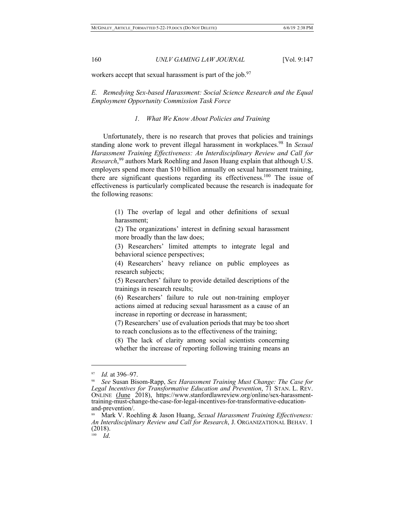workers accept that sexual harassment is part of the job. $97$ 

*E. Remedying Sex-based Harassment: Social Science Research and the Equal Employment Opportunity Commission Task Force*

# *1. What We Know About Policies and Training*

Unfortunately, there is no research that proves that policies and trainings standing alone work to prevent illegal harassment in workplaces.<sup>98</sup> In *Sexual Harassment Training Effectiveness: An Interdisciplinary Review and Call for Research*, <sup>99</sup> authors Mark Roehling and Jason Huang explain that although U.S. employers spend more than \$10 billion annually on sexual harassment training, there are significant questions regarding its effectiveness.<sup>100</sup> The issue of effectiveness is particularly complicated because the research is inadequate for the following reasons:

> (1) The overlap of legal and other definitions of sexual harassment;

> (2) The organizations' interest in defining sexual harassment more broadly than the law does;

> (3) Researchers' limited attempts to integrate legal and behavioral science perspectives;

> (4) Researchers' heavy reliance on public employees as research subjects;

> (5) Researchers' failure to provide detailed descriptions of the trainings in research results;

> (6) Researchers' failure to rule out non-training employer actions aimed at reducing sexual harassment as a cause of an increase in reporting or decrease in harassment;

> (7) Researchers' use of evaluation periods that may be too short to reach conclusions as to the effectiveness of the training;

> (8) The lack of clarity among social scientists concerning whether the increase of reporting following training means an

<sup>97</sup> *Id.* at 396–97.

<sup>98</sup> *See* Susan Bisom-Rapp, *Sex Harassment Training Must Change: The Case for Legal Incentives for Transformative Education and Prevention*, 71 STAN. L. REV. ONLINE (June 2018), https://www.stanfordlawreview.org/online/sex-harassment- training-must-change-the-case-for-legal-incentives-for-transformative-education- and-prevention/.

<sup>99</sup> Mark V. Roehling & Jason Huang, *Sexual Harassment Training Effectiveness: An Interdisciplinary Review and Call for Research*, J. ORGANIZATIONAL BEHAV. 1 (2018).

<sup>100</sup> *Id*.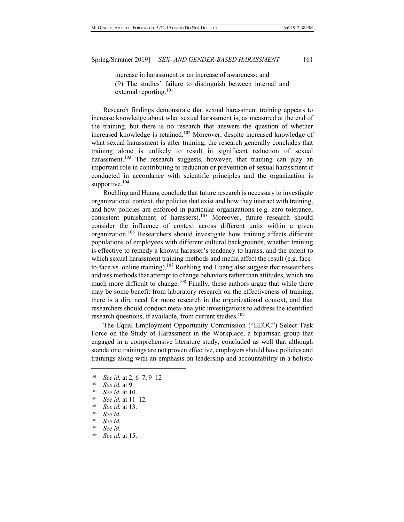increase in harassment or an increase of awareness; and (9) The studies' failure to distinguish between internal and external reporting.<sup>101</sup>

Research findings demonstrate that sexual harassment training appears to increase knowledge about what sexual harassment is, as measured at the end of the training, but there is no research that answers the question of whether increased knowledge is retained.<sup>102</sup> Moreover, despite increased knowledge of what sexual harassment is after training, the research generally concludes that training alone is unlikely to result in significant reduction of sexual harassment.<sup>103</sup> The research suggests, however, that training can play an important role in contributing to reduction or prevention of sexual harassment if conducted in accordance with scientific principles and the organization is supportive.<sup>104</sup>

Roehling and Huang conclude that future research is necessary to investigate organizational context, the policies that exist and how they interact with training, and how policies are enforced in particular organizations (e.g. zero tolerance, consistent punishment of harassers).<sup>105</sup> Moreover, future research should consider the influence of context across different units within a given organization.<sup>106</sup> Researchers should investigate how training affects different populations of employees with different cultural backgrounds, whether training is effective to remedy a known harasser's tendency to harass, and the extent to which sexual harassment training methods and media affect the result (e.g. faceto-face vs. online training).<sup>107</sup> Roehling and Huang also suggest that researchers address methods that attempt to change behaviors rather than attitudes, which are much more difficult to change.<sup>108</sup> Finally, these authors argue that while there may be some benefit from laboratory research on the effectiveness of training, there is a dire need for more research in the organizational context, and that researchers should conduct meta-analytic investigations to address the identified research questions, if available, from current studies.<sup>109</sup>

The Equal Employment Opportunity Commission ("EEOC") Select Task Force on the Study of Harassment in the Workplace, a bipartisan group that engaged in a comprehensive literature study, concluded as well that although standalone trainings are not proven effective, employers should have policies and trainings along with an emphasis on leadership and accountability in a holistic

- See *id.*
- 109 *See id.* at 15.

<sup>&</sup>lt;sup>101</sup> *See id.* at 2, 6–7, 9–12<br><sup>102</sup> *See id.* at 9.

<sup>103</sup> *See id.* at 10.

<sup>&</sup>lt;sup>104</sup> *See id.* at 11–12.

<sup>105</sup>*See id.* at 13. 106 *See id.*

<sup>107</sup> *See id.*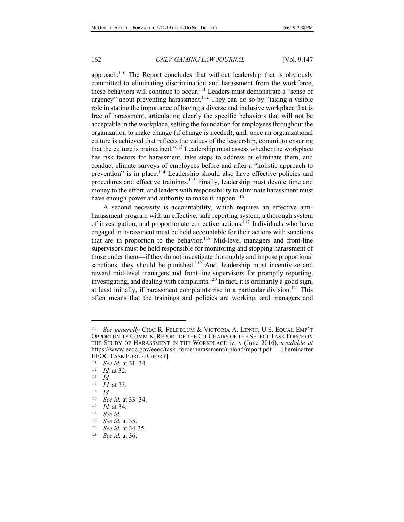approach.<sup>110</sup> The Report concludes that without leadership that is obviously committed to eliminating discrimination and harassment from the workforce, these behaviors will continue to occur.<sup>111</sup> Leaders must demonstrate a "sense of urgency" about preventing harassment.<sup>112</sup> They can do so by "taking a visible role in stating the importance of having a diverse and inclusive workplace that is free of harassment, articulating clearly the specific behaviors that will not be acceptable in the workplace, setting the foundation for employees throughout the organization to make change (if change is needed), and, once an organizational culture is achieved that reflects the values of the leadership, commit to ensuring that the culture is maintained."113 Leadership must assess whether the workplace has risk factors for harassment, take steps to address or eliminate them, and conduct climate surveys of employees before and after a "holistic approach to prevention" is in place.<sup>114</sup> Leadership should also have effective policies and procedures and effective trainings.<sup>115</sup> Finally, leadership must devote time and money to the effort, and leaders with responsibility to eliminate harassment must have enough power and authority to make it happen.<sup>116</sup>

A second necessity is accountability, which requires an effective antiharassment program with an effective, safe reporting system, a thorough system of investigation, and proportionate corrective actions.<sup>117</sup> Individuals who have engaged in harassment must be held accountable for their actions with sanctions that are in proportion to the behavior.<sup>118</sup> Mid-level managers and front-line supervisors must be held responsible for monitoring and stopping harassment of those under them—if they do not investigate thoroughly and impose proportional sanctions, they should be punished.<sup>119</sup> And, leadership must incentivize and reward mid-level managers and front-line supervisors for promptly reporting, investigating, and dealing with complaints.<sup>120</sup> In fact, it is ordinarily a good sign, at least initially, if harassment complaints rise in a particular division.<sup>121</sup> This often means that the trainings and policies are working, and managers and

<sup>110</sup> *See generally* CHAI R. FELDBLUM & VICTORIA A. LIPNIC, U.S. EQUAL EMP'T OPPORTUNITY COMM'N, REPORT OF THE CO-CHAIRS OF THE SELECT TASK FORCE ON THE STUDY OF HARASSMENT IN THE WORKPLACE iv, v (June 2016), *available at* https://www.eeoc.gov/eeoc/task\_force/harassment/upload/report.pdf [hereinafter EEOC TASK FORCE REPORT].

<sup>&</sup>lt;sup>111</sup> *See id.* at 31–34.

<sup>&</sup>lt;sup>112</sup> *Id.* at 32.<br><sup>113</sup> *Id.* 14 at 33

*Id.* at 33.

<sup>115</sup> *Id.*

<sup>&</sup>lt;sup>116</sup> *See id.* at 33–34.

<sup>&</sup>lt;sup>117</sup> *Id.* at 34.

<sup>118</sup> *See id.*

<sup>&</sup>lt;sup>119</sup> *See id.* at 35.<br><sup>120</sup> *See id.* at 34-

See id. at 34-35.

<sup>121</sup> *See id.* at 36.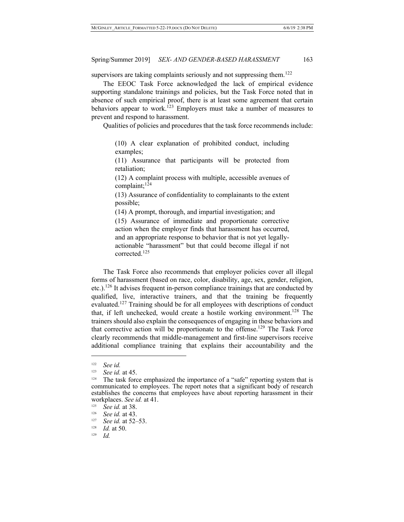supervisors are taking complaints seriously and not suppressing them.<sup>122</sup>

The EEOC Task Force acknowledged the lack of empirical evidence supporting standalone trainings and policies, but the Task Force noted that in absence of such empirical proof, there is at least some agreement that certain behaviors appear to work.<sup>123</sup> Employers must take a number of measures to prevent and respond to harassment.

Qualities of policies and procedures that the task force recommends include:

(10) A clear explanation of prohibited conduct, including examples;

(11) Assurance that participants will be protected from retaliation;

(12) A complaint process with multiple, accessible avenues of complaint; $124$ 

(13) Assurance of confidentiality to complainants to the extent possible;

(14) A prompt, thorough, and impartial investigation; and

(15) Assurance of immediate and proportionate corrective action when the employer finds that harassment has occurred, and an appropriate response to behavior that is not yet legallyactionable "harassment" but that could become illegal if not corrected.<sup>125</sup>

The Task Force also recommends that employer policies cover all illegal forms of harassment (based on race, color, disability, age, sex, gender, religion, etc.).<sup>126</sup> It advises frequent in-person compliance trainings that are conducted by qualified, live, interactive trainers, and that the training be frequently evaluated.<sup>127</sup> Training should be for all employees with descriptions of conduct that, if left unchecked, would create a hostile working environment.<sup>128</sup> The trainers should also explain the consequences of engaging in these behaviors and that corrective action will be proportionate to the offense.<sup>129</sup> The Task Force clearly recommends that middle-management and first-line supervisors receive additional compliance training that explains their accountability and the

<sup>122</sup> *See id.*

<sup>&</sup>lt;sup>123</sup> See id. at 45.<br><sup>124</sup> The task force emphasized the importance of a "safe" reporting system that is communicated to employees. The report notes that a significant body of research establishes the concerns that employees have about reporting harassment in their workplaces. *See id.* at 41.

<sup>&</sup>lt;sup>125</sup> *See id.* at 38.

<sup>&</sup>lt;sup>126</sup> *See id.* at 43.

<sup>&</sup>lt;sup>127</sup> *See id.* at 52–53.<br><sup>128</sup> *Id.* at 50

<sup>&</sup>lt;sup>128</sup> *Id.* at 50.<br><sup>129</sup> *Id* 

*Id.*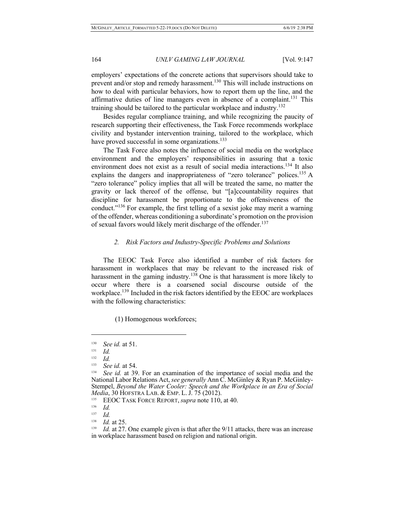employers' expectations of the concrete actions that supervisors should take to prevent and/or stop and remedy harassment.<sup>130</sup> This will include instructions on how to deal with particular behaviors, how to report them up the line, and the affirmative duties of line managers even in absence of a complaint.<sup>131</sup> This training should be tailored to the particular workplace and industry.132

Besides regular compliance training, and while recognizing the paucity of research supporting their effectiveness, the Task Force recommends workplace civility and bystander intervention training, tailored to the workplace, which have proved successful in some organizations.<sup>133</sup>

The Task Force also notes the influence of social media on the workplace environment and the employers' responsibilities in assuring that a toxic environment does not exist as a result of social media interactions.<sup>134</sup> It also explains the dangers and inappropriateness of "zero tolerance" polices.<sup>135</sup> A "zero tolerance" policy implies that all will be treated the same, no matter the gravity or lack thereof of the offense, but "[a]ccountability requires that discipline for harassment be proportionate to the offensiveness of the conduct."<sup>136</sup> For example, the first telling of a sexist joke may merit a warning of the offender, whereas conditioning a subordinate's promotion on the provision of sexual favors would likely merit discharge of the offender.<sup>137</sup>

# *2. Risk Factors and Industry-Specific Problems and Solutions*

The EEOC Task Force also identified a number of risk factors for harassment in workplaces that may be relevant to the increased risk of harassment in the gaming industry.<sup>138</sup> One is that harassment is more likely to occur where there is a coarsened social discourse outside of the workplace.<sup>139</sup> Included in the risk factors identified by the EEOC are workplaces with the following characteristics:

(1) Homogenous workforces;

<sup>&</sup>lt;sup>130</sup> *See id.* at 51.

 $\frac{131}{132}$  *Id.* 

 $\frac{132}{133}$  *Id.* 

<sup>&</sup>lt;sup>133</sup> *See id.* at 54.

See id. at 39. For an examination of the importance of social media and the National Labor Relations Act, *see generally* Ann C. McGinley & Ryan P. McGinley- Stempel, *Beyond the Water Cooler: Speech and the Workplace in an Era of Social Media*, 30 HOFSTRA LAB. & EMP. L. J. 75 (2012).

<sup>135</sup> EEOC TASK FORCE REPORT, *supra* note 110, at 40.

 $\frac{136}{137}$  *Id.* 

 $\frac{137}{138}$  *Id.* 

<sup>&</sup>lt;sup>138</sup> *Id.* at 25.<br><sup>139</sup> *Id.* at 27.

*Id.* at 27. One example given is that after the 9/11 attacks, there was an increase in workplace harassment based on religion and national origin.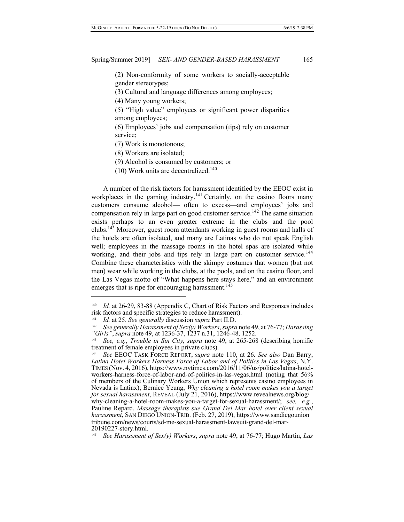(2) Non-conformity of some workers to socially-acceptable gender stereotypes;

(3) Cultural and language differences among employees;

(4) Many young workers;

(5) "High value" employees or significant power disparities among employees;

(6) Employees' jobs and compensation (tips) rely on customer service;

(7) Work is monotonous;

(8) Workers are isolated;

(9) Alcohol is consumed by customers; or

 $(10)$  Work units are decentralized.<sup>140</sup>

A number of the risk factors for harassment identified by the EEOC exist in workplaces in the gaming industry.<sup>141</sup> Certainly, on the casino floors many customers consume alcohol— often to excess—and employees' jobs and compensation rely in large part on good customer service.<sup>142</sup> The same situation exists perhaps to an even greater extreme in the clubs and the pool clubs.143 Moreover, guest room attendants working in guest rooms and halls of the hotels are often isolated, and many are Latinas who do not speak English well; employees in the massage rooms in the hotel spas are isolated while working, and their jobs and tips rely in large part on customer service.<sup>144</sup> Combine these characteristics with the skimpy costumes that women (but not men) wear while working in the clubs, at the pools, and on the casino floor, and the Las Vegas motto of "What happens here stays here," and an environment emerges that is ripe for encouraging harassment.<sup>145</sup>

<sup>140</sup> *Id.* at 26-29, 83-88 (Appendix C, Chart of Risk Factors and Responses includes risk factors and specific strategies to reduce harassment).

<sup>&</sup>lt;sup>141</sup> *Id.* at 25. See generally discussion *supra* Part II.D.<br><sup>142</sup> *See generally Harassment of Sex(y) Workers, supra note 49, at 76-77; Harassing* "Girls", supra note 49, at  $1236-37$ ,  $1237$  n.31,  $1246-48$ ,  $1252$ .<br><sup>143</sup> See, e.g., Trouble in Sin City, supra note 49, at 265-268 (describing horrific

treatment of female employees in private clubs).

<sup>144</sup> *See* EEOC TASK FORCE REPORT, *supra* note 110, at 26. *See also* Dan Barry, *Latina Hotel Workers Harness Force of Labor and of Politics in Las Vegas*, N.Y. TIMES (Nov. 4, 2016), https://www.nytimes.com/2016/11/06/us/politics/latina-hotel- workers-harness-force-of-labor-and-of-politics-in-las-vegas.html (noting that 56% of members of the Culinary Workers Union which represents casino employees in Nevada is Latinx); Bernice Yeung, *Why cleaning a hotel room makes you a target for sexual harassment*, REVEAL (July 21, 2016), https://www.revealnews.org/blog/ why-cleaning-a-hotel-room-makes-you-a-target-for-sexual-harassment/; *see, e.g.*, Pauline Repard, *Massage therapists sue Grand Del Mar hotel over client sexual harassment*, SAN DIEGO UNION-TRIB. (Feb. 27, 2019), https://www.sandiegounion tribune.com/news/courts/sd-me-sexual-harassment-lawsuit-grand-del-mar- 20190227-story.html.

<sup>145</sup> *See Harassment of Sex(y) Workers*, *supra* note 49, at 76-77; Hugo Martin, *Las*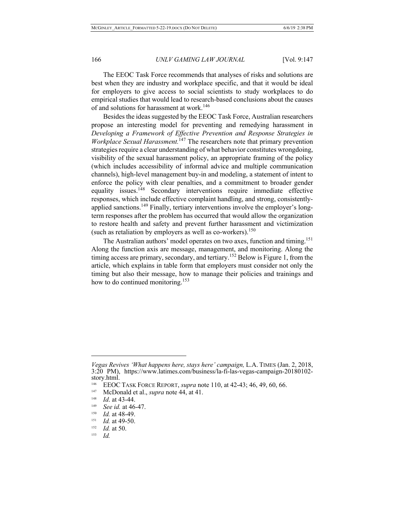The EEOC Task Force recommends that analyses of risks and solutions are best when they are industry and workplace specific, and that it would be ideal for employers to give access to social scientists to study workplaces to do empirical studies that would lead to research-based conclusions about the causes of and solutions for harassment at work.<sup>146</sup>

Besides the ideas suggested by the EEOC Task Force, Australian researchers propose an interesting model for preventing and remedying harassment in *Developing a Framework of Effective Prevention and Response Strategies in Workplace Sexual Harassment.*<sup>147</sup> The researchers note that primary prevention strategies require a clear understanding of what behavior constitutes wrongdoing, visibility of the sexual harassment policy, an appropriate framing of the policy (which includes accessibility of informal advice and multiple communication channels), high-level management buy-in and modeling, a statement of intent to enforce the policy with clear penalties, and a commitment to broader gender equality issues.<sup>148</sup> Secondary interventions require immediate effective responses, which include effective complaint handling, and strong, consistentlyapplied sanctions.<sup>149</sup> Finally, tertiary interventions involve the employer's longterm responses after the problem has occurred that would allow the organization to restore health and safety and prevent further harassment and victimization (such as retaliation by employers as well as co-workers).<sup>150</sup>

The Australian authors' model operates on two axes, function and timing.<sup>151</sup> Along the function axis are message, management, and monitoring. Along the timing access are primary, secondary, and tertiary.<sup>152</sup> Below is Figure 1, from the article, which explains in table form that employers must consider not only the timing but also their message, how to manage their policies and trainings and how to do continued monitoring.<sup>153</sup>

*Vegas Revives 'What happens here, stays here' campaign,* L.A. TIMES (Jan. 2, 2018, 3:20 PM), https://www.latimes.com/business/la-fi-las-vegas-campaign-20180102- story.html.

<sup>146</sup> EEOC TASK FORCE REPORT, *supra* note 110, at 42-43; 46, 49, 60, 66.

<sup>147</sup> McDonald et al., *supra* note 44, at 41.

<sup>&</sup>lt;sup>148</sup> *Id.* at 43-44.

<sup>&</sup>lt;sup>149</sup> *See id.* at 46-47.

<sup>&</sup>lt;sup>150</sup> *Id.* at 48-49.

<sup>&</sup>lt;sup>151</sup> *Id.* at 49-50.

<sup>&</sup>lt;sup>152</sup> *Id.* at 50.<br> $\frac{153}{1}$  *Id* 

*Id.*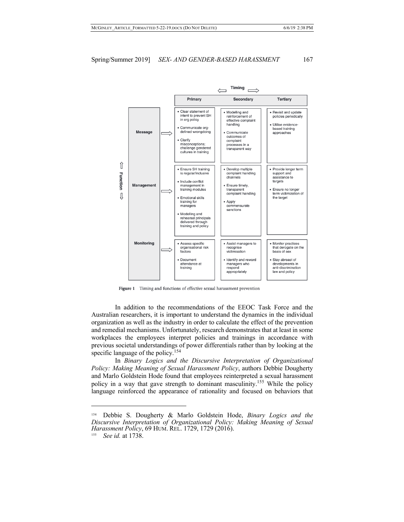

Figure 1 Timing and functions of effective sexual harassment prevention

In addition to the recommendations of the EEOC Task Force and the Australian researchers, it is important to understand the dynamics in the individual organization as well as the industry in order to calculate the effect of the prevention and remedial mechanisms. Unfortunately, research demonstrates that at least in some workplaces the employees interpret policies and trainings in accordance with previous societal understandings of power differentials rather than by looking at the specific language of the policy.<sup>154</sup>

In *Binary Logics and the Discursive Interpretation of Organizational Policy: Making Meaning of Sexual Harassment Policy*, authors Debbie Dougherty and Marlo Goldstein Hode found that employees reinterpreted a sexual harassment policy in a way that gave strength to dominant masculinity.155 While the policy language reinforced the appearance of rationality and focused on behaviors that

<sup>154</sup> Debbie S. Dougherty & Marlo Goldstein Hode, *Binary Logics and the Discursive Interpretation of Organizational Policy: Making Meaning of Sexual Harassment Policy*, 69 HUM. REL. 1729, 1729 (2016).

<sup>155</sup> *See id.* at 1738.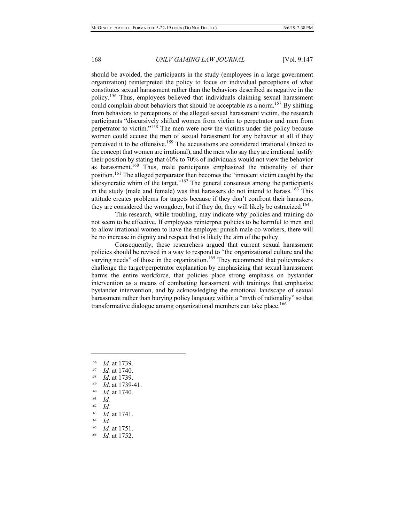should be avoided, the participants in the study (employees in a large government organization) reinterpreted the policy to focus on individual perceptions of what constitutes sexual harassment rather than the behaviors described as negative in the policy.<sup>156</sup> Thus, employees believed that individuals claiming sexual harassment could complain about behaviors that should be acceptable as a norm.<sup>157</sup> By shifting from behaviors to perceptions of the alleged sexual harassment victim, the research participants "discursively shifted women from victim to perpetrator and men from perpetrator to victim."<sup>158</sup> The men were now the victims under the policy because women could accuse the men of sexual harassment for any behavior at all if they perceived it to be offensive.<sup>159</sup> The accusations are considered irrational (linked to the concept that women are irrational), and the men who say they are irrational justify their position by stating that 60% to 70% of individuals would not view the behavior as harassment.<sup>160</sup> Thus, male participants emphasized the rationality of their position.<sup>161</sup> The alleged perpetrator then becomes the "innocent victim caught by the idiosyncratic whim of the target."<sup>162</sup> The general consensus among the participants in the study (male and female) was that harassers do not intend to harass.<sup>163</sup> This attitude creates problems for targets because if they don't confront their harassers, they are considered the wrongdoer, but if they do, they will likely be ostracized.<sup>164</sup>

This research, while troubling, may indicate why policies and training do not seem to be effective. If employees reinterpret policies to be harmful to men and to allow irrational women to have the employer punish male co-workers, there will be no increase in dignity and respect that is likely the aim of the policy.

Consequently, these researchers argued that current sexual harassment policies should be revised in a way to respond to "the organizational culture and the varying needs" of those in the organization.<sup>165</sup> They recommend that policymakers challenge the target/perpetrator explanation by emphasizing that sexual harassment harms the entire workforce, that policies place strong emphasis on bystander intervention as a means of combatting harassment with trainings that emphasize bystander intervention, and by acknowledging the emotional landscape of sexual harassment rather than burying policy language within a "myth of rationality" so that transformative dialogue among organizational members can take place.<sup>166</sup>

 $\frac{161}{162}$  *Id.* 

- $\frac{164}{165}$  *Id.*
- *Id.* at 1751.

<sup>&</sup>lt;sup>156</sup> *Id.* at 1739.

 $\frac{157}{158}$  *Id.* at 1740.

<sup>&</sup>lt;sup>158</sup> *Id.* at 1739.

*Id.* at 1739-41.

<sup>160</sup> *Id.* at 1740.

 $\frac{162}{163}$  *Id.* 

 $\frac{163}{164}$  *Id.* at 1741.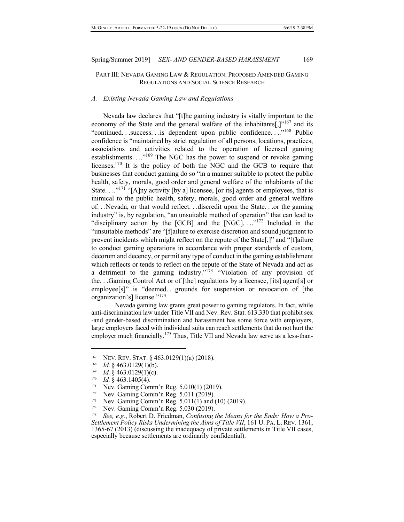## PART III: NEVADA GAMING LAW & REGULATION: PROPOSED AMENDED GAMING REGULATIONS AND SOCIAL SCIENCE RESEARCH

## *A. Existing Nevada Gaming Law and Regulations*

Nevada law declares that "[t]he gaming industry is vitally important to the economy of the State and the general welfare of the inhabitants[ $,$ ]<sup>"167</sup> and its "continued. . .success. . .is dependent upon public confidence. . .."<sup>168</sup> Public confidence is "maintained by strict regulation of all persons, locations, practices, associations and activities related to the operation of licensed gaming establishments. . ..<sup>"169</sup> The NGC has the power to suspend or revoke gaming licenses.<sup>170</sup> It is the policy of both the NGC and the GCB to require that businesses that conduct gaming do so "in a manner suitable to protect the public health, safety, morals, good order and general welfare of the inhabitants of the State. . .."<sup>171</sup> "[A]ny activity [by a] licensee, [or its] agents or employees, that is inimical to the public health, safety, morals, good order and general welfare of. . .Nevada, or that would reflect. . .discredit upon the State. . .or the gaming industry" is, by regulation, "an unsuitable method of operation" that can lead to "disciplinary action by the [GCB] and the [NGC]. ..."<sup>172</sup> Included in the "unsuitable methods" are "[f]ailure to exercise discretion and sound judgment to prevent incidents which might reflect on the repute of the State[,]" and "[f]ailure to conduct gaming operations in accordance with proper standards of custom, decorum and decency, or permit any type of conduct in the gaming establishment which reflects or tends to reflect on the repute of the State of Nevada and act as a detriment to the gaming industry."<sup>[73</sup> "Violation of any provision of the. . .Gaming Control Act or of [the] regulations by a licensee, [its] agent[s] or employee[s]" is "deemed. . .grounds for suspension or revocation of [the organization's] license."<sup>174</sup>

Nevada gaming law grants great power to gaming regulators. In fact, while anti-discrimination law under Title VII and Nev. Rev. Stat. 613.330 that prohibit sex -and gender-based discrimination and harassment has some force with employers, large employers faced with individual suits can reach settlements that do not hurt the employer much financially.<sup>175</sup> Thus, Title VII and Nevada law serve as a less-than-

 $\overline{\phantom{a}}$ 

Nev. Gaming Comm'n Reg. 5.011(1) and (10) (2019).

<sup>&</sup>lt;sup>167</sup> NEV. REV. STAT. § 463.0129(1)(a) (2018).

 $168$  *Id.* § 463.0129(1)(b).

<sup>&</sup>lt;sup>169</sup> *Id.* § 463.0129(1)(c).

 $170$  *Id.* § 463.1405(4).

<sup>&</sup>lt;sup>171</sup> Nev. Gaming Comm'n Reg. 5.010(1) (2019).<br><sup>172</sup> Nev. Gaming Comm'n Reg. 5.011 (2019).

<sup>&</sup>lt;sup>172</sup> Nev. Gaming Comm'n Reg. 5.011 (2019).<br><sup>173</sup> Nev. Gaming Comm'n Reg. 5.011(1) and t

<sup>174</sup> Nev. Gaming Comm'n Reg. 5.030 (2019).

<sup>175</sup> *See, e.g.*, Robert D. Friedman, *Confusing the Means for the Ends: How a Pro-Settlement Policy Risks Undermining the Aims of Title VII*, 161 U. PA. L. REV. 1361, 1365-67 (2013) (discussing the inadequacy of private settlements in Title VII cases, especially because settlements are ordinarily confidential).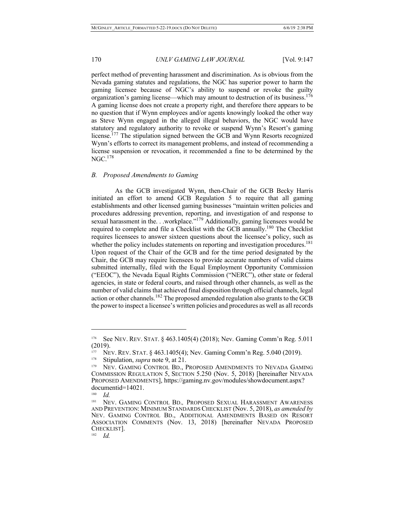perfect method of preventing harassment and discrimination. As is obvious from the Nevada gaming statutes and regulations, the NGC has superior power to harm the gaming licensee because of NGC's ability to suspend or revoke the guilty organization's gaming license—which may amount to destruction of its business.<sup>176</sup> A gaming license does not create a property right, and therefore there appears to be no question that if Wynn employees and/or agents knowingly looked the other way as Steve Wynn engaged in the alleged illegal behaviors, the NGC would have statutory and regulatory authority to revoke or suspend Wynn's Resort's gaming license.<sup>177</sup> The stipulation signed between the GCB and Wynn Resorts recognized Wynn's efforts to correct its management problems, and instead of recommending a license suspension or revocation, it recommended a fine to be determined by the  $NGC.<sup>178</sup>$ 

## *B. Proposed Amendments to Gaming*

As the GCB investigated Wynn, then-Chair of the GCB Becky Harris initiated an effort to amend GCB Regulation 5 to require that all gaming establishments and other licensed gaming businesses "maintain written policies and procedures addressing prevention, reporting, and investigation of and response to sexual harassment in the. . .workplace."<sup>179</sup> Additionally, gaming licensees would be required to complete and file a Checklist with the GCB annually.<sup>180</sup> The Checklist requires licensees to answer sixteen questions about the licensee's policy, such as whether the policy includes statements on reporting and investigation procedures.<sup>181</sup> Upon request of the Chair of the GCB and for the time period designated by the Chair, the GCB may require licensees to provide accurate numbers of valid claims submitted internally, filed with the Equal Employment Opportunity Commission ("EEOC"), the Nevada Equal Rights Commission ("NERC"), other state or federal agencies, in state or federal courts, and raised through other channels, as well as the number of valid claims that achieved final disposition through official channels, legal action or other channels.<sup>182</sup> The proposed amended regulation also grants to the GCB the power to inspect a licensee's written policies and procedures as well as all records

<sup>176</sup> See NEV. REV. STAT. § 463.1405(4) (2018); Nev. Gaming Comm'n Reg. 5.011 (2019).

<sup>177</sup> NEV. REV. STAT. § 463.1405(4); Nev. Gaming Comm'n Reg. 5.040 (2019).

<sup>&</sup>lt;sup>178</sup> Stipulation, *supra* note 9, at 21.

<sup>&</sup>lt;sup>179</sup> NEV. GAMING CONTROL BD., PROPOSED AMENDMENTS TO NEVADA GAMING COMMISSION REGULATION 5, SECTION 5.250 (Nov. 5, 2018) [hereinafter NEVADA PROPOSED AMENDMENTS], https://gaming.nv.gov/modules/showdocument.aspx? documentid=14021.

 $\frac{180}{181}$  *Id.* 

<sup>181</sup> NEV. GAMING CONTROL BD.*,* PROPOSED SEXUAL HARASSMENT AWARENESS AND PREVENTION: MINIMUM STANDARDS CHECKLIST (Nov. 5, 2018), *as amended by*  NEV. GAMING CONTROL BD., ADDITIONAL AMENDMENTS BASED ON RESORT ASSOCIATION COMMENTS (Nov. 13, 2018) [hereinafter NEVADA PROPOSED CHECKLIST]. 182 *Id.*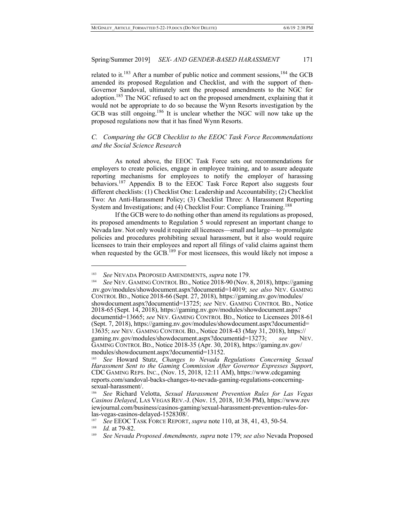related to it.<sup>183</sup> After a number of public notice and comment sessions,<sup>184</sup> the GCB amended its proposed Regulation and Checklist, and with the support of then-Governor Sandoval, ultimately sent the proposed amendments to the NGC for adoption.<sup>185</sup> The NGC refused to act on the proposed amendment, explaining that it would not be appropriate to do so because the Wynn Resorts investigation by the GCB was still ongoing.<sup>186</sup> It is unclear whether the NGC will now take up the proposed regulations now that it has fined Wynn Resorts.

# *C. Comparing the GCB Checklist to the EEOC Task Force Recommendations and the Social Science Research*

As noted above, the EEOC Task Force sets out recommendations for employers to create policies, engage in employee training, and to assure adequate reporting mechanisms for employees to notify the employer of harassing behaviors.<sup>187</sup> Appendix B to the EEOC Task Force Report also suggests four different checklists: (1) Checklist One: Leadership and Accountability; (2) Checklist Two: An Anti-Harassment Policy; (3) Checklist Three: A Harassment Reporting System and Investigations; and (4) Checklist Four: Compliance Training.<sup>188</sup>

If the GCB were to do nothing other than amend its regulations as proposed, its proposed amendments to Regulation 5 would represent an important change to Nevada law. Not only would it require all licensees—small and large—to promulgate policies and procedures prohibiting sexual harassment, but it also would require licensees to train their employees and report all filings of valid claims against them when requested by the  $GCB$ .<sup>189</sup> For most licensees, this would likely not impose a

<sup>&</sup>lt;sup>183</sup> *See* NEVADA PROPOSED AMENDMENTS, *supra* note 179.

<sup>184</sup> *See* NEV. GAMING CONTROL BD., Notice 2018-90 (Nov. 8, 2018), https://gaming .nv.gov/modules/showdocument.aspx?documentid=14019; *see also* NEV. GAMING CONTROL BD., Notice 2018-66 (Sept. 27, 2018), https://gaming.nv.gov/modules/ showdocument.aspx?documentid=13725; *see* NEV. GAMING CONTROL BD., Notice 2018-65 (Sept. 14, 2018), https://gaming.nv.gov/modules/showdocument.aspx? documentid=13665; *see* NEV. GAMING CONTROL BD., Notice to Licensees 2018-61 (Sept. 7, 2018), https://gaming.nv.gov/modules/showdocument.aspx?documentid= 13635; *see* NEV. GAMING CONTROL BD., Notice 2018-43 (May 31, 2018), https:// gaming.nv.gov/modules/showdocument.aspx?documentid=13273; *see* NEV. GAMING CONTROL BD., Notice 2018-35 (Apr. 30, 2018), https://gaming.nv.gov/ modules/showdocument.aspx?documentid=13152.

<sup>185</sup> *See* Howard Stutz, *Changes to Nevada Regulations Concerning Sexual Harassment Sent to the Gaming Commission After Governor Expresses Support*, CDC GAMING REPS. INC., (Nov. 15, 2018, 12:11 AM), https://www.cdcgaming reports.com/sandoval-backs-changes-to-nevada-gaming-regulations-concerning- sexual-harassment/.

<sup>186</sup> *See* Richard Velotta, *Sexual Harassment Prevention Rules for Las Vegas Casinos Delayed*, LAS VEGAS REV.-J. (Nov. 15, 2018, 10:36 PM), https://www.rev iewjournal.com/business/casinos-gaming/sexual-harassment-prevention-rules-for- las-vegas-casinos-delayed-1528308/. 187 *See* EEOC TASK FORCE REPORT, *supra* note 110, at 38, 41, 43, 50-54. 188 *Id.* at 79-82.

<sup>189</sup> *See Nevada Proposed Amendments, supra* note 179; *see also* Nevada Proposed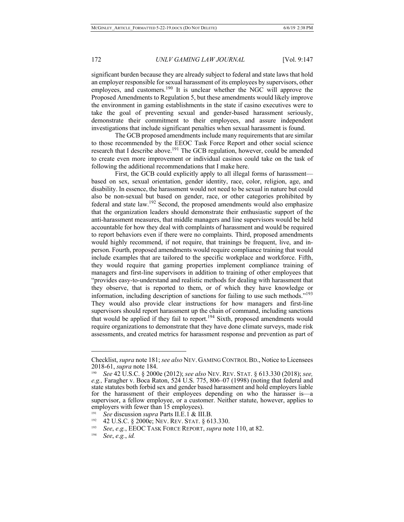significant burden because they are already subject to federal and state laws that hold an employer responsible for sexual harassment of its employees by supervisors, other employees, and customers.<sup>190</sup> It is unclear whether the NGC will approve the Proposed Amendments to Regulation 5, but these amendments would likely improve the environment in gaming establishments in the state if casino executives were to take the goal of preventing sexual and gender-based harassment seriously, demonstrate their commitment to their employees, and assure independent investigations that include significant penalties when sexual harassment is found.

The GCB proposed amendments include many requirements that are similar to those recommended by the EEOC Task Force Report and other social science research that I describe above.<sup>191</sup> The GCB regulation, however, could be amended to create even more improvement or individual casinos could take on the task of following the additional recommendations that I make here.

First, the GCB could explicitly apply to all illegal forms of harassment based on sex, sexual orientation, gender identity, race, color, religion, age, and disability. In essence, the harassment would not need to be sexual in nature but could also be non-sexual but based on gender, race, or other categories prohibited by federal and state law.<sup>192</sup> Second, the proposed amendments would also emphasize that the organization leaders should demonstrate their enthusiastic support of the anti-harassment measures, that middle managers and line supervisors would be held accountable for how they deal with complaints of harassment and would be required to report behaviors even if there were no complaints. Third, proposed amendments would highly recommend, if not require, that trainings be frequent, live, and inperson. Fourth, proposed amendments would require compliance training that would include examples that are tailored to the specific workplace and workforce. Fifth, they would require that gaming properties implement compliance training of managers and first-line supervisors in addition to training of other employees that "provides easy-to-understand and realistic methods for dealing with harassment that they observe, that is reported to them, or of which they have knowledge or information, including description of sanctions for failing to use such methods."<sup>193</sup> They would also provide clear instructions for how managers and first-line supervisors should report harassment up the chain of command, including sanctions that would be applied if they fail to report.<sup>194</sup> Sixth, proposed amendments would require organizations to demonstrate that they have done climate surveys, made risk assessments, and created metrics for harassment response and prevention as part of

Checklist, *supra* note 181; *see also* NEV. GAMING CONTROL BD., Notice to Licensees 2018-61, *supra* note 184.<br><sup>190</sup> See 42 U S C 8 2000

<sup>190</sup> *See* 42 U.S.C. § 2000e (2012); *see also* NEV. REV. STAT. § 613.330 (2018); *see, e.g.,* Faragher v. Boca Raton, 524 U.S. 775, 806–07 (1998) (noting that federal and state statutes both forbid sex and gender based harassment and hold employers liable for the harassment of their employees depending on who the harasser is—a supervisor, a fellow employee, or a customer. Neither statute, however, applies to employers with fewer than 15 employees).

<sup>191</sup> *See* discussion *supra* Parts II.E.1 & III.B.

<sup>&</sup>lt;sup>192</sup> 42 U.S.C. § 2000e; NEV. REV. STAT. § 613.330.

<sup>193</sup> *See*, *e*.*g.*, EEOC TASK FORCE REPORT, *supra* note 110, at 82.

<sup>194</sup> *See*, *e*.*g.*, *id.*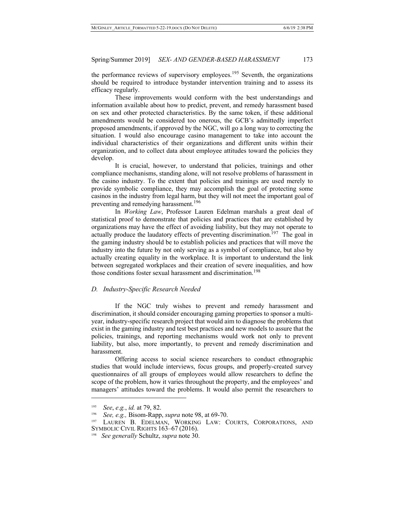the performance reviews of supervisory employees.<sup>195</sup> Seventh, the organizations should be required to introduce bystander intervention training and to assess its efficacy regularly.

These improvements would conform with the best understandings and information available about how to predict, prevent, and remedy harassment based on sex and other protected characteristics. By the same token, if these additional amendments would be considered too onerous, the GCB's admittedly imperfect proposed amendments, if approved by the NGC, will go a long way to correcting the situation. I would also encourage casino management to take into account the individual characteristics of their organizations and different units within their organization, and to collect data about employee attitudes toward the policies they develop.

It is crucial, however, to understand that policies, trainings and other compliance mechanisms, standing alone, will not resolve problems of harassment in the casino industry. To the extent that policies and trainings are used merely to provide symbolic compliance, they may accomplish the goal of protecting some casinos in the industry from legal harm, but they will not meet the important goal of preventing and remedying harassment.<sup>196</sup>

In *Working Law*, Professor Lauren Edelman marshals a great deal of statistical proof to demonstrate that policies and practices that are established by organizations may have the effect of avoiding liability, but they may not operate to actually produce the laudatory effects of preventing discrimination.<sup>197</sup> The goal in the gaming industry should be to establish policies and practices that will move the industry into the future by not only serving as a symbol of compliance, but also by actually creating equality in the workplace. It is important to understand the link between segregated workplaces and their creation of severe inequalities, and how those conditions foster sexual harassment and discrimination.<sup>198</sup>

# *D. Industry-Specific Research Needed*

If the NGC truly wishes to prevent and remedy harassment and discrimination, it should consider encouraging gaming properties to sponsor a multiyear, industry-specific research project that would aim to diagnose the problems that exist in the gaming industry and test best practices and new models to assure that the policies, trainings, and reporting mechanisms would work not only to prevent liability, but also, more importantly, to prevent and remedy discrimination and harassment.

Offering access to social science researchers to conduct ethnographic studies that would include interviews, focus groups, and properly-created survey questionnaires of all groups of employees would allow researchers to define the scope of the problem, how it varies throughout the property, and the employees' and managers' attitudes toward the problems. It would also permit the researchers to

<sup>195</sup> *See*, *e*.*g.*, *id.* at 79, 82.

<sup>196</sup> *See, e.g.,* Bisom-Rapp, *supra* note 98, at 69-70.

LAUREN B. EDELMAN, WORKING LAW: COURTS, CORPORATIONS, AND SYMBOLIC CIVIL RIGHTS 163–67 (2016).

<sup>198</sup> *See generally* Schultz, *supra* note 30.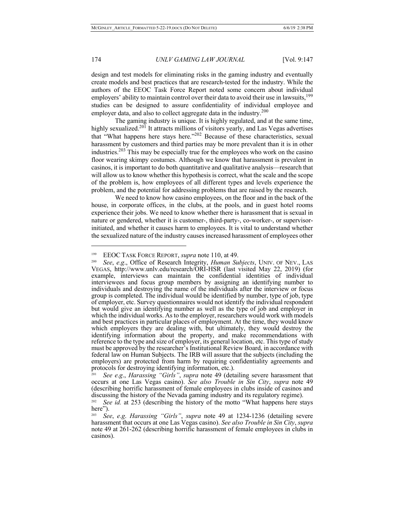design and test models for eliminating risks in the gaming industry and eventually create models and best practices that are research-tested for the industry. While the authors of the EEOC Task Force Report noted some concern about individual employers' ability to maintain control over their data to avoid their use in lawsuits, $199$ studies can be designed to assure confidentiality of individual employee and employer data, and also to collect aggregate data in the industry.<sup>200</sup>

The gaming industry is unique. It is highly regulated, and at the same time, highly sexualized.<sup>201</sup> It attracts millions of visitors yearly, and Las Vegas advertises that "What happens here stays here."<sup>202</sup> Because of these characteristics, sexual harassment by customers and third parties may be more prevalent than it is in other industries.<sup>203</sup> This may be especially true for the employees who work on the casino floor wearing skimpy costumes. Although we know that harassment is prevalent in casinos, it is important to do both quantitative and qualitative analysis—research that will allow us to know whether this hypothesis is correct, what the scale and the scope of the problem is, how employees of all different types and levels experience the problem, and the potential for addressing problems that are raised by the research.

We need to know how casino employees, on the floor and in the back of the house, in corporate offices, in the clubs, at the pools, and in guest hotel rooms experience their jobs. We need to know whether there is harassment that is sexual in nature or gendered, whether it is customer-, third-party-, co-worker-, or supervisorinitiated, and whether it causes harm to employees. It is vital to understand whether the sexualized nature of the industry causes increased harassment of employees other

<sup>&</sup>lt;sup>199</sup> EEOC TASK FORCE REPORT, *supra* note 110, at 49.

*See*, *e.g.*, Office of Research Integrity, *Human Subjects*, UNIV. OF NEV., LAS VEGAS, http://www.unlv.edu/research/ORI-HSR (last visited May 22, 2019) (for example, interviews can maintain the confidential identities of individual interviewees and focus group members by assigning an identifying number to individuals and destroying the name of the individuals after the interview or focus group is completed. The individual would be identified by number, type of job, type of employer, etc. Survey questionnaires would not identify the individual respondent but would give an identifying number as well as the type of job and employer in which the individual works. As to the employer, researchers would work with models and best practices in particular places of employment. At the time, they would know which employers they are dealing with, but ultimately, they would destroy the identifying information about the property, and make recommendations with reference to the type and size of employer, its general location, etc. This type of study must be approved by the researcher's Institutional Review Board, in accordance with federal law on Human Subjects. The IRB will assure that the subjects (including the employers) are protected from harm by requiring confidentiality agreements and protocols for destroying identifying information, etc.).

<sup>201</sup> *See e*.*g*., *Harassing "Girls"*, *supra* note 49 (detailing severe harassment that occurs at one Las Vegas casino). *See also Trouble in Sin City*, *supra* note 49 (describing horrific harassment of female employees in clubs inside of casinos and discussing the history of the Nevada gaming industry and its regulatory regime).<br><sup>202</sup> See id, at 253 (describing the history of the motto "What happens here at

See id. at 253 (describing the history of the motto "What happens here stays here").

<sup>203</sup> *See*, *e*.*g*. *Harassing "Girls"*, *supra* note 49 at 1234-1236 (detailing severe harassment that occurs at one Las Vegas casino). *See also Trouble in Sin City*, *supra* note 49 at 261-262 (describing horrific harassment of female employees in clubs in casinos).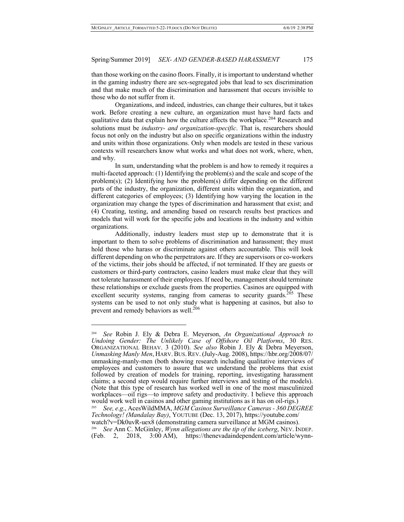than those working on the casino floors. Finally, it is important to understand whether in the gaming industry there are sex-segregated jobs that lead to sex discrimination and that make much of the discrimination and harassment that occurs invisible to those who do not suffer from it.

Organizations, and indeed, industries, can change their cultures, but it takes work. Before creating a new culture, an organization must have hard facts and qualitative data that explain how the culture affects the workplace.<sup>204</sup> Research and solutions must be *industry- and organization-specific*. That is, researchers should focus not only on the industry but also on specific organizations within the industry and units within those organizations. Only when models are tested in these various contexts will researchers know what works and what does not work, where, when, and why.

In sum, understanding what the problem is and how to remedy it requires a multi-faceted approach: (1) Identifying the problem(s) and the scale and scope of the problem(s); (2) Identifying how the problem(s) differ depending on the different parts of the industry, the organization, different units within the organization, and different categories of employees; (3) Identifying how varying the location in the organization may change the types of discrimination and harassment that exist; and (4) Creating, testing, and amending based on research results best practices and models that will work for the specific jobs and locations in the industry and within organizations.

Additionally, industry leaders must step up to demonstrate that it is important to them to solve problems of discrimination and harassment; they must hold those who harass or discriminate against others accountable. This will look different depending on who the perpetrators are. If they are supervisors or co-workers of the victims, their jobs should be affected, if not terminated. If they are guests or customers or third-party contractors, casino leaders must make clear that they will not tolerate harassment of their employees. If need be, management should terminate these relationships or exclude guests from the properties. Casinos are equipped with excellent security systems, ranging from cameras to security guards.<sup>205</sup> These systems can be used to not only study what is happening at casinos, but also to prevent and remedy behaviors as well.<sup>206</sup>

<sup>204</sup> *See* Robin J. Ely & Debra E. Meyerson, *An Organizational Approach to Undoing Gender: The Unlikely Case of Offshore Oil Platforms*, 30 RES. ORGANIZATIONAL BEHAV. 3 (2010). *See also* Robin J. Ely & Debra Meyerson, *Unmasking Manly Men*, HARV.BUS.REV. (July-Aug. 2008), https://hbr.org/2008/07/ unmasking-manly-men (both showing research including qualitative interviews of employees and customers to assure that we understand the problems that exist followed by creation of models for training, reporting, investigating harassment claims; a second step would require further interviews and testing of the models). (Note that this type of research has worked well in one of the most masculinized workplaces—oil rigs—to improve safety and productivity. I believe this approach would work well in casinos and other gaming institutions as it has on oil-rigs.)

<sup>205</sup> *See, e*.*g*., AcesWildMMA, *MGM Casinos Surveillance Cameras - 360 DEGREE Technology! (Mandalay Bay)*, YOUTUBE (Dec. 13, 2017), https://youtube.com/ watch?v=Dk0uvR-uex8 (demonstrating camera surveillance at MGM casinos).

<sup>206</sup>*See* Ann C. McGinley, *Wynn allegations are the tip of the iceberg*, NEV. INDEP. (Feb. 2, 2018, 3:00 AM), https://thenevadaindependent.com/article/wynn-